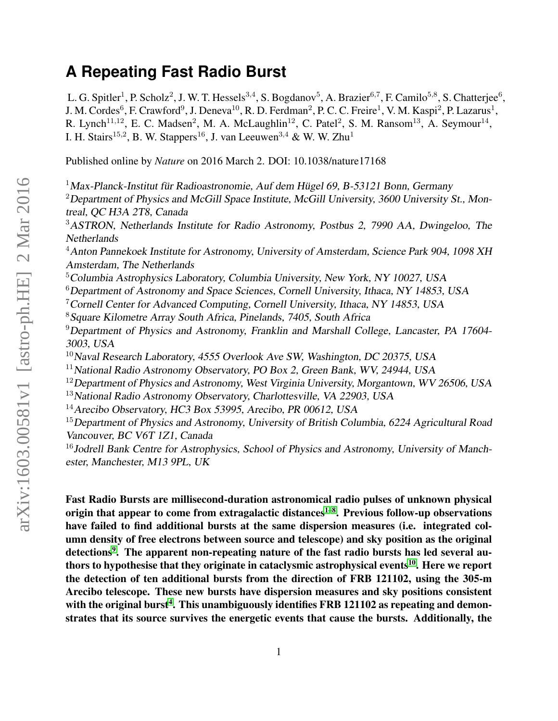# **A Repeating Fast Radio Burst**

L. G. Spitler<sup>1</sup>, P. Scholz<sup>2</sup>, J. W. T. Hessels<sup>3,4</sup>, S. Bogdanov<sup>5</sup>, A. Brazier<sup>6,7</sup>, F. Camilo<sup>5,8</sup>, S. Chatterjee<sup>6</sup>, J. M. Cordes $^6$ , F. Crawford $^9$ , J. Deneva $^{10}$ , R. D. Ferdman $^2$ , P. C. C. Freire $^1$ , V. M. Kaspi $^2$ , P. Lazarus $^1$ , R. Lynch<sup>11,12</sup>, E. C. Madsen<sup>2</sup>, M. A. McLaughlin<sup>12</sup>, C. Patel<sup>2</sup>, S. M. Ransom<sup>13</sup>, A. Seymour<sup>14</sup>, I. H. Stairs<sup>15,2</sup>, B. W. Stappers<sup>16</sup>, J. van Leeuwen<sup>3,4</sup> & W. W. Zhu<sup>1</sup>

Published online by *Nature* on 2016 March 2. DOI: 10.1038/nature17168

 $1$ Max-Planck-Institut für Radioastronomie, Auf dem Hügel 69, B-53121 Bonn, Germany

<sup>2</sup>Department of Physics and McGill Space Institute, McGill University, 3600 University St., Montreal, QC H3A 2T8, Canada

<sup>3</sup>ASTRON, Netherlands Institute for Radio Astronomy, Postbus 2, 7990 AA, Dwingeloo, The Netherlands

<sup>4</sup> Anton Pannekoek Institute for Astronomy, University of Amsterdam, Science Park 904, 1098 XH Amsterdam, The Netherlands

<sup>5</sup>Columbia Astrophysics Laboratory, Columbia University, New York, NY 10027, USA

 $6$ Department of Astronomy and Space Sciences, Cornell University, Ithaca, NY 14853, USA

<sup>7</sup> Cornell Center for Advanced Computing, Cornell University, Ithaca, NY 14853, USA

<sup>8</sup>Square Kilometre Array South Africa, Pinelands, 7405, South Africa

<sup>9</sup>Department of Physics and Astronomy, Franklin and Marshall College, Lancaster, PA 17604-3003, USA

 $10$ Naval Research Laboratory, 4555 Overlook Ave SW, Washington, DC 20375, USA

<sup>11</sup>National Radio Astronomy Observatory, PO Box 2, Green Bank, WV, 24944, USA

 $12$ Department of Physics and Astronomy, West Virginia University, Morgantown, WV 26506, USA

<sup>13</sup>National Radio Astronomy Observatory, Charlottesville, VA 22903, USA

<sup>14</sup> Arecibo Observatory, HC3 Box 53995, Arecibo, PR 00612, USA

 $15$  Department of Physics and Astronomy, University of British Columbia, 6224 Agricultural Road Vancouver, BC V6T 1Z1, Canada

<sup>16</sup>Jodrell Bank Centre for Astrophysics, School of Physics and Astronomy, University of Manchester, Manchester, M13 9PL, UK

Fast Radio Bursts are millisecond-duration astronomical radio pulses of unknown physical origin that appear to come from extragalactic distances<sup>[1](#page-5-0)-8</sup>. Previous follow-up observations have failed to find additional bursts at the same dispersion measures (i.e. integrated column density of free electrons between source and telescope) and sky position as the original detections<sup>[9](#page-5-2)</sup>. The apparent non-repeating nature of the fast radio bursts has led several au-thors to hypothesise that they originate in cataclysmic astrophysical events<sup>[10](#page-5-3)</sup>. Here we report the detection of ten additional bursts from the direction of FRB 121102, using the 305-m Arecibo telescope. These new bursts have dispersion measures and sky positions consistent with the original burst<sup>[4](#page-5-4)</sup>. This unambiguously identifies FRB 121102 as repeating and demonstrates that its source survives the energetic events that cause the bursts. Additionally, the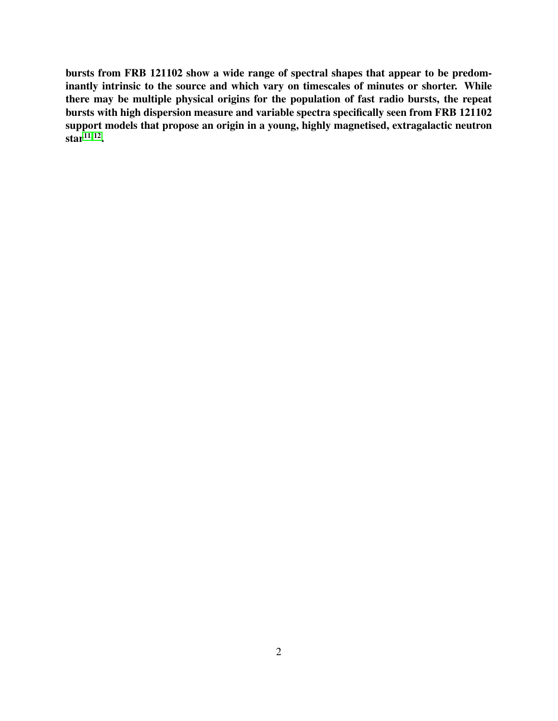bursts from FRB 121102 show a wide range of spectral shapes that appear to be predominantly intrinsic to the source and which vary on timescales of minutes or shorter. While there may be multiple physical origins for the population of fast radio bursts, the repeat bursts with high dispersion measure and variable spectra specifically seen from FRB 121102 support models that propose an origin in a young, highly magnetised, extragalactic neutron  $\mathrm{star}^{11,12}.$  $\mathrm{star}^{11,12}.$  $\mathrm{star}^{11,12}.$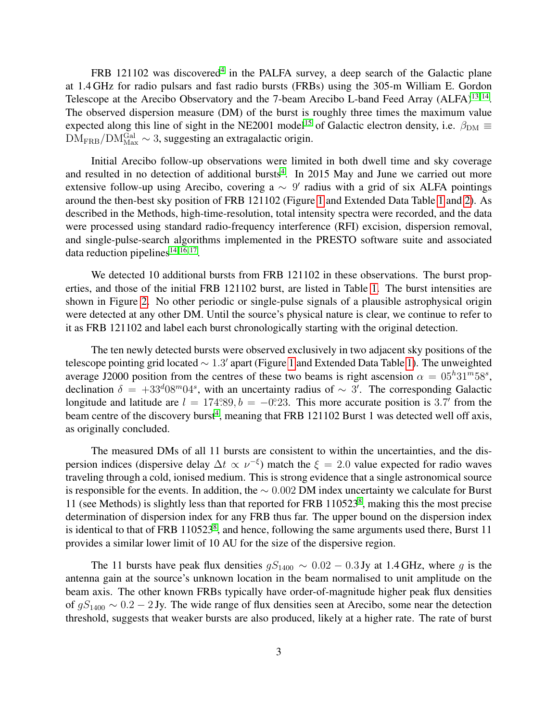FRB 121102 was discovered<sup>[4](#page-5-4)</sup> in the PALFA survey, a deep search of the Galactic plane at 1.4 GHz for radio pulsars and fast radio bursts (FRBs) using the 305-m William E. Gordon Telescope at the Arecibo Observatory and the 7-beam Arecibo L-band Feed Array (ALFA)<sup>[13,](#page-5-7)14</sup>. The observed dispersion measure (DM) of the burst is roughly three times the maximum value expected along this line of sight in the NE2001 model<sup>[15](#page-5-9)</sup> of Galactic electron density, i.e.  $\beta_{DM} \equiv$  $\text{DM}_{\text{FRB}} / \text{DM}_{\text{Max}}^{\text{Gal}} \sim 3$ , suggesting an extragalactic origin.

Initial Arecibo follow-up observations were limited in both dwell time and sky coverage and resulted in no detection of additional bursts<sup>[4](#page-5-4)</sup>. In 2015 May and June we carried out more extensive follow-up using Arecibo, covering a  $\sim 9'$  radius with a grid of six ALFA pointings around the then-best sky position of FRB 121102 (Figure [1](#page-9-0) and Extended Data Table [1](#page-20-0) and [2\)](#page-21-0). As described in the Methods, high-time-resolution, total intensity spectra were recorded, and the data were processed using standard radio-frequency interference (RFI) excision, dispersion removal, and single-pulse-search algorithms implemented in the PRESTO software suite and associated data reduction pipelines $14, 16, 17$  $14, 16, 17$  $14, 16, 17$ .

We detected 10 additional bursts from FRB 121102 in these observations. The burst properties, and those of the initial FRB 121102 burst, are listed in Table [1.](#page-8-0) The burst intensities are shown in Figure [2.](#page-11-0) No other periodic or single-pulse signals of a plausible astrophysical origin were detected at any other DM. Until the source's physical nature is clear, we continue to refer to it as FRB 121102 and label each burst chronologically starting with the original detection.

The ten newly detected bursts were observed exclusively in two adjacent sky positions of the telescope pointing grid located ~ [1](#page-9-0).3' apart (Figure 1 and Extended Data Table [1\)](#page-20-0). The unweighted average J2000 position from the centres of these two beams is right ascension  $\alpha = 0.5^{h}31^{m}58^{s}$ , declination  $\delta = +33^{\circ}08^{\circ}04^{\circ}$ , with an uncertainty radius of ~ 3'. The corresponding Galactic longitude and latitude are  $l = 174°89, b = -0°23$ . This more accurate position is 3.7' from the beam centre of the discovery burst<sup>[4](#page-5-4)</sup>, meaning that FRB 121102 Burst 1 was detected well off axis, as originally concluded.

The measured DMs of all 11 bursts are consistent to within the uncertainties, and the dispersion indices (dispersive delay  $\Delta t \propto \nu^{-\xi}$ ) match the  $\xi = 2.0$  value expected for radio waves traveling through a cold, ionised medium. This is strong evidence that a single astronomical source is responsible for the events. In addition, the ∼ 0.002 DM index uncertainty we calculate for Burst 11 (see Methods) is slightly less than that reported for FRB 110523<sup>[8](#page-5-1)</sup>, making this the most precise determination of dispersion index for any FRB thus far. The upper bound on the dispersion index is identical to that of FRB  $110523^8$  $110523^8$ , and hence, following the same arguments used there, Burst 11 provides a similar lower limit of 10 AU for the size of the dispersive region.

The 11 bursts have peak flux densities  $gS_{1400} \sim 0.02 - 0.3$  Jy at 1.4 GHz, where g is the antenna gain at the source's unknown location in the beam normalised to unit amplitude on the beam axis. The other known FRBs typically have order-of-magnitude higher peak flux densities of  $gS_{1400} \sim 0.2 - 2$  Jy. The wide range of flux densities seen at Arecibo, some near the detection threshold, suggests that weaker bursts are also produced, likely at a higher rate. The rate of burst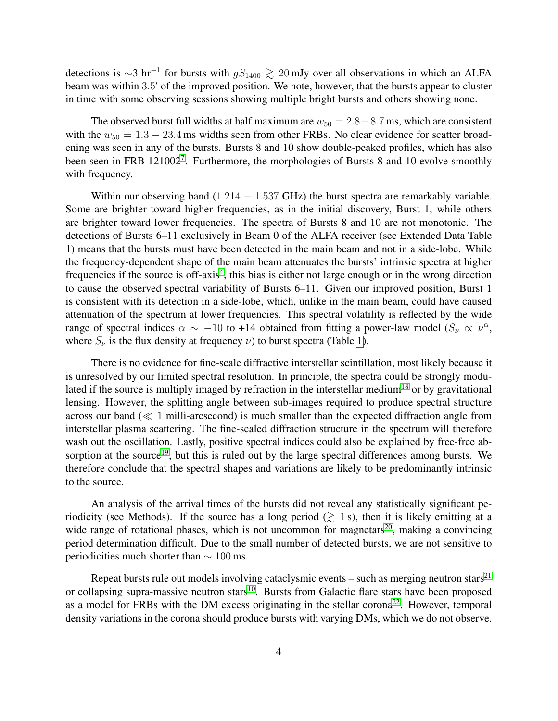detections is  $\sim$ 3 hr<sup>-1</sup> for bursts with  $gS_{1400} \gtrsim 20$  mJy over all observations in which an ALFA beam was within 3.5' of the improved position. We note, however, that the bursts appear to cluster in time with some observing sessions showing multiple bright bursts and others showing none.

The observed burst full widths at half maximum are  $w_{50} = 2.8 - 8.7$  ms, which are consistent with the  $w_{50} = 1.3 - 23.4$  ms widths seen from other FRBs. No clear evidence for scatter broadening was seen in any of the bursts. Bursts 8 and 10 show double-peaked profiles, which has also been seen in FRB 121002<sup>[7](#page-5-10)</sup>. Furthermore, the morphologies of Bursts 8 and 10 evolve smoothly with frequency.

Within our observing band  $(1.214 - 1.537 \text{ GHz})$  the burst spectra are remarkably variable. Some are brighter toward higher frequencies, as in the initial discovery, Burst 1, while others are brighter toward lower frequencies. The spectra of Bursts 8 and 10 are not monotonic. The detections of Bursts 6–11 exclusively in Beam 0 of the ALFA receiver (see Extended Data Table 1) means that the bursts must have been detected in the main beam and not in a side-lobe. While the frequency-dependent shape of the main beam attenuates the bursts' intrinsic spectra at higher frequencies if the source is off-axis<sup>[4](#page-5-4)</sup>, this bias is either not large enough or in the wrong direction to cause the observed spectral variability of Bursts 6–11. Given our improved position, Burst 1 is consistent with its detection in a side-lobe, which, unlike in the main beam, could have caused attenuation of the spectrum at lower frequencies. This spectral volatility is reflected by the wide range of spectral indices  $\alpha \sim -10$  to +14 obtained from fitting a power-law model ( $S_{\nu} \propto \nu^{\alpha}$ , where  $S_{\nu}$  is the flux density at frequency  $\nu$ ) to burst spectra (Table [1\)](#page-8-0).

There is no evidence for fine-scale diffractive interstellar scintillation, most likely because it is unresolved by our limited spectral resolution. In principle, the spectra could be strongly modu-lated if the source is multiply imaged by refraction in the interstellar medium<sup>[18](#page-6-2)</sup> or by gravitational lensing. However, the splitting angle between sub-images required to produce spectral structure across our band  $(\ll 1$  milli-arcsecond) is much smaller than the expected diffraction angle from interstellar plasma scattering. The fine-scaled diffraction structure in the spectrum will therefore wash out the oscillation. Lastly, positive spectral indices could also be explained by free-free ab-sorption at the source<sup>[19](#page-6-3)</sup>, but this is ruled out by the large spectral differences among bursts. We therefore conclude that the spectral shapes and variations are likely to be predominantly intrinsic to the source.

An analysis of the arrival times of the bursts did not reveal any statistically significant periodicity (see Methods). If the source has a long period  $(\gtrsim 1 \text{ s})$ , then it is likely emitting at a wide range of rotational phases, which is not uncommon for magnetars<sup>[20](#page-6-4)</sup>, making a convincing period determination difficult. Due to the small number of detected bursts, we are not sensitive to periodicities much shorter than  $\sim 100$  ms.

Repeat bursts rule out models involving cataclysmic events – such as merging neutron stars<sup>[21](#page-6-5)</sup> or collapsing supra-massive neutron stars<sup>[10](#page-5-3)</sup>. Bursts from Galactic flare stars have been proposed as a model for FRBs with the DM excess originating in the stellar corona<sup>[22](#page-6-6)</sup>. However, temporal density variations in the corona should produce bursts with varying DMs, which we do not observe.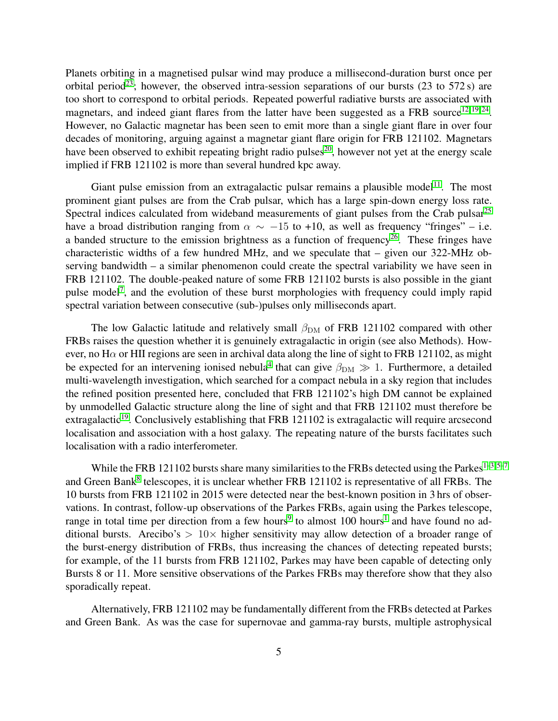Planets orbiting in a magnetised pulsar wind may produce a millisecond-duration burst once per orbital period<sup>[23](#page-6-7)</sup>; however, the observed intra-session separations of our bursts (23 to 572 s) are too short to correspond to orbital periods. Repeated powerful radiative bursts are associated with magnetars, and indeed giant flares from the latter have been suggested as a FRB source<sup>[12,](#page-5-6) [19,](#page-6-3) [24](#page-6-8)</sup>. However, no Galactic magnetar has been seen to emit more than a single giant flare in over four decades of monitoring, arguing against a magnetar giant flare origin for FRB 121102. Magnetars have been observed to exhibit repeating bright radio pulses<sup>[20](#page-6-4)</sup>, however not yet at the energy scale implied if FRB 121102 is more than several hundred kpc away.

Giant pulse emission from an extragalactic pulsar remains a plausible model<sup>[11](#page-5-5)</sup>. The most prominent giant pulses are from the Crab pulsar, which has a large spin-down energy loss rate. Spectral indices calculated from wideband measurements of giant pulses from the Crab pulsar<sup>[25](#page-6-9)</sup> have a broad distribution ranging from  $\alpha \sim -15$  to +10, as well as frequency "fringes" – i.e. a banded structure to the emission brightness as a function of frequency<sup>[26](#page-6-10)</sup>. These fringes have characteristic widths of a few hundred MHz, and we speculate that – given our 322-MHz observing bandwidth – a similar phenomenon could create the spectral variability we have seen in FRB 121102. The double-peaked nature of some FRB 121102 bursts is also possible in the giant pulse model<sup>[7](#page-5-10)</sup>, and the evolution of these burst morphologies with frequency could imply rapid spectral variation between consecutive (sub-)pulses only milliseconds apart.

The low Galactic latitude and relatively small  $\beta_{DM}$  of FRB 121102 compared with other FRBs raises the question whether it is genuinely extragalactic in origin (see also Methods). However, no H $\alpha$  or HII regions are seen in archival data along the line of sight to FRB 121102, as might be expected for an intervening ionised nebula<sup>[4](#page-5-4)</sup> that can give  $\beta_{DM} \gg 1$ . Furthermore, a detailed multi-wavelength investigation, which searched for a compact nebula in a sky region that includes the refined position presented here, concluded that FRB 121102's high DM cannot be explained by unmodelled Galactic structure along the line of sight and that FRB 121102 must therefore be extragalactic<sup>[19](#page-6-3)</sup>. Conclusively establishing that FRB 121102 is extragalactic will require arcsecond localisation and association with a host galaxy. The repeating nature of the bursts facilitates such localisation with a radio interferometer.

While the FRB [1](#page-5-0)21102 bursts share many similarities to the FRBs detected using the Parkes<sup>1-3,5-7</sup> and Green Bank<sup>[8](#page-5-1)</sup> telescopes, it is unclear whether FRB 121102 is representative of all FRBs. The 10 bursts from FRB 121102 in 2015 were detected near the best-known position in 3 hrs of observations. In contrast, follow-up observations of the Parkes FRBs, again using the Parkes telescope, range in total time per direction from a few hours<sup>[9](#page-5-2)</sup> to almost [1](#page-5-0)00 hours<sup>1</sup> and have found no additional bursts. Arecibo's  $> 10 \times$  higher sensitivity may allow detection of a broader range of the burst-energy distribution of FRBs, thus increasing the chances of detecting repeated bursts; for example, of the 11 bursts from FRB 121102, Parkes may have been capable of detecting only Bursts 8 or 11. More sensitive observations of the Parkes FRBs may therefore show that they also sporadically repeat.

Alternatively, FRB 121102 may be fundamentally different from the FRBs detected at Parkes and Green Bank. As was the case for supernovae and gamma-ray bursts, multiple astrophysical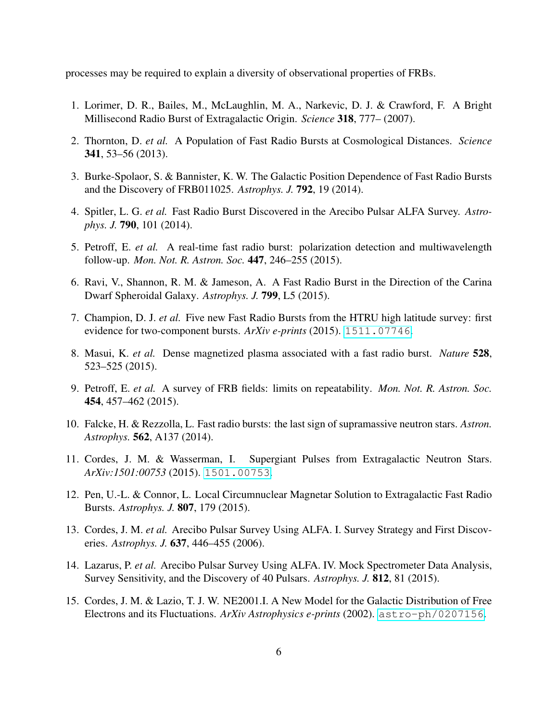processes may be required to explain a diversity of observational properties of FRBs.

- <span id="page-5-0"></span>1. Lorimer, D. R., Bailes, M., McLaughlin, M. A., Narkevic, D. J. & Crawford, F. A Bright Millisecond Radio Burst of Extragalactic Origin. *Science* 318, 777– (2007).
- <span id="page-5-13"></span>2. Thornton, D. *et al.* A Population of Fast Radio Bursts at Cosmological Distances. *Science* 341, 53–56 (2013).
- <span id="page-5-11"></span>3. Burke-Spolaor, S. & Bannister, K. W. The Galactic Position Dependence of Fast Radio Bursts and the Discovery of FRB011025. *Astrophys. J.* 792, 19 (2014).
- <span id="page-5-4"></span>4. Spitler, L. G. *et al.* Fast Radio Burst Discovered in the Arecibo Pulsar ALFA Survey. *Astrophys. J.* 790, 101 (2014).
- <span id="page-5-12"></span>5. Petroff, E. *et al.* A real-time fast radio burst: polarization detection and multiwavelength follow-up. *Mon. Not. R. Astron. Soc.* 447, 246–255 (2015).
- <span id="page-5-14"></span>6. Ravi, V., Shannon, R. M. & Jameson, A. A Fast Radio Burst in the Direction of the Carina Dwarf Spheroidal Galaxy. *Astrophys. J.* 799, L5 (2015).
- <span id="page-5-10"></span>7. Champion, D. J. *et al.* Five new Fast Radio Bursts from the HTRU high latitude survey: first evidence for two-component bursts. *ArXiv e-prints* (2015). <1511.07746>.
- <span id="page-5-1"></span>8. Masui, K. *et al.* Dense magnetized plasma associated with a fast radio burst. *Nature* 528, 523–525 (2015).
- <span id="page-5-2"></span>9. Petroff, E. *et al.* A survey of FRB fields: limits on repeatability. *Mon. Not. R. Astron. Soc.* 454, 457–462 (2015).
- <span id="page-5-3"></span>10. Falcke, H. & Rezzolla, L. Fast radio bursts: the last sign of supramassive neutron stars. *Astron. Astrophys.* 562, A137 (2014).
- <span id="page-5-5"></span>11. Cordes, J. M. & Wasserman, I. Supergiant Pulses from Extragalactic Neutron Stars. *ArXiv:1501:00753* (2015). <1501.00753>.
- <span id="page-5-6"></span>12. Pen, U.-L. & Connor, L. Local Circumnuclear Magnetar Solution to Extragalactic Fast Radio Bursts. *Astrophys. J.* 807, 179 (2015).
- <span id="page-5-7"></span>13. Cordes, J. M. *et al.* Arecibo Pulsar Survey Using ALFA. I. Survey Strategy and First Discoveries. *Astrophys. J.* 637, 446–455 (2006).
- <span id="page-5-8"></span>14. Lazarus, P. *et al.* Arecibo Pulsar Survey Using ALFA. IV. Mock Spectrometer Data Analysis, Survey Sensitivity, and the Discovery of 40 Pulsars. *Astrophys. J.* 812, 81 (2015).
- <span id="page-5-9"></span>15. Cordes, J. M. & Lazio, T. J. W. NE2001.I. A New Model for the Galactic Distribution of Free Electrons and its Fluctuations. *ArXiv Astrophysics e-prints* (2002). <astro-ph/0207156>.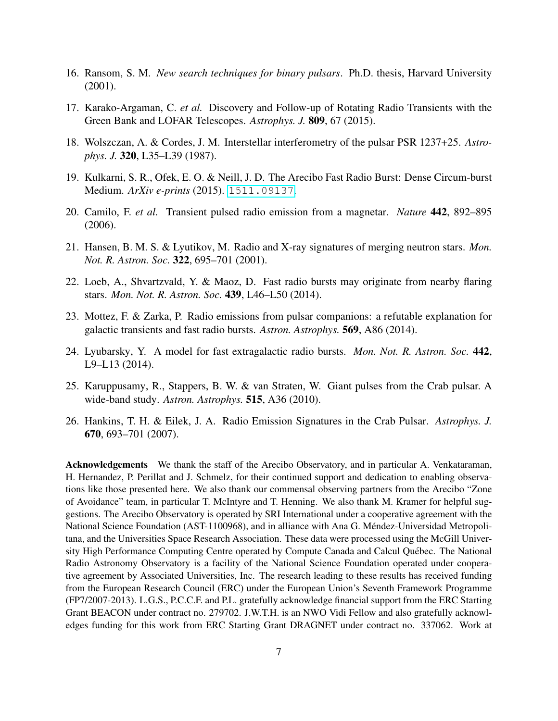- <span id="page-6-0"></span>16. Ransom, S. M. *New search techniques for binary pulsars*. Ph.D. thesis, Harvard University (2001).
- <span id="page-6-1"></span>17. Karako-Argaman, C. *et al.* Discovery and Follow-up of Rotating Radio Transients with the Green Bank and LOFAR Telescopes. *Astrophys. J.* 809, 67 (2015).
- <span id="page-6-2"></span>18. Wolszczan, A. & Cordes, J. M. Interstellar interferometry of the pulsar PSR 1237+25. *Astrophys. J.* 320, L35–L39 (1987).
- <span id="page-6-3"></span>19. Kulkarni, S. R., Ofek, E. O. & Neill, J. D. The Arecibo Fast Radio Burst: Dense Circum-burst Medium. *ArXiv e-prints* (2015). <1511.09137>.
- <span id="page-6-4"></span>20. Camilo, F. *et al.* Transient pulsed radio emission from a magnetar. *Nature* 442, 892–895 (2006).
- <span id="page-6-5"></span>21. Hansen, B. M. S. & Lyutikov, M. Radio and X-ray signatures of merging neutron stars. *Mon. Not. R. Astron. Soc.* 322, 695–701 (2001).
- <span id="page-6-6"></span>22. Loeb, A., Shvartzvald, Y. & Maoz, D. Fast radio bursts may originate from nearby flaring stars. *Mon. Not. R. Astron. Soc.* 439, L46–L50 (2014).
- <span id="page-6-7"></span>23. Mottez, F. & Zarka, P. Radio emissions from pulsar companions: a refutable explanation for galactic transients and fast radio bursts. *Astron. Astrophys.* 569, A86 (2014).
- <span id="page-6-8"></span>24. Lyubarsky, Y. A model for fast extragalactic radio bursts. *Mon. Not. R. Astron. Soc.* 442, L9–L13 (2014).
- <span id="page-6-9"></span>25. Karuppusamy, R., Stappers, B. W. & van Straten, W. Giant pulses from the Crab pulsar. A wide-band study. *Astron. Astrophys.* 515, A36 (2010).
- <span id="page-6-10"></span>26. Hankins, T. H. & Eilek, J. A. Radio Emission Signatures in the Crab Pulsar. *Astrophys. J.* 670, 693–701 (2007).

Acknowledgements We thank the staff of the Arecibo Observatory, and in particular A. Venkataraman, H. Hernandez, P. Perillat and J. Schmelz, for their continued support and dedication to enabling observations like those presented here. We also thank our commensal observing partners from the Arecibo "Zone of Avoidance" team, in particular T. McIntyre and T. Henning. We also thank M. Kramer for helpful suggestions. The Arecibo Observatory is operated by SRI International under a cooperative agreement with the National Science Foundation (AST-1100968), and in alliance with Ana G. Méndez-Universidad Metropolitana, and the Universities Space Research Association. These data were processed using the McGill University High Performance Computing Centre operated by Compute Canada and Calcul Québec. The National Radio Astronomy Observatory is a facility of the National Science Foundation operated under cooperative agreement by Associated Universities, Inc. The research leading to these results has received funding from the European Research Council (ERC) under the European Union's Seventh Framework Programme (FP7/2007-2013). L.G.S., P.C.C.F. and P.L. gratefully acknowledge financial support from the ERC Starting Grant BEACON under contract no. 279702. J.W.T.H. is an NWO Vidi Fellow and also gratefully acknowledges funding for this work from ERC Starting Grant DRAGNET under contract no. 337062. Work at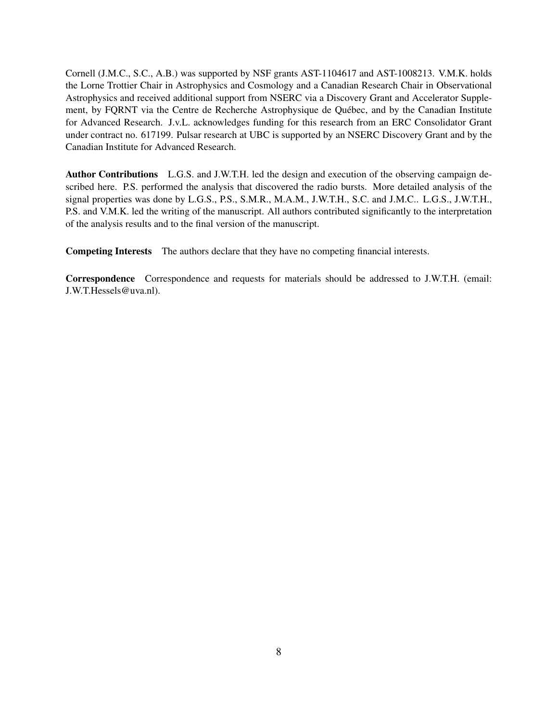Cornell (J.M.C., S.C., A.B.) was supported by NSF grants AST-1104617 and AST-1008213. V.M.K. holds the Lorne Trottier Chair in Astrophysics and Cosmology and a Canadian Research Chair in Observational Astrophysics and received additional support from NSERC via a Discovery Grant and Accelerator Supplement, by FQRNT via the Centre de Recherche Astrophysique de Québec, and by the Canadian Institute for Advanced Research. J.v.L. acknowledges funding for this research from an ERC Consolidator Grant under contract no. 617199. Pulsar research at UBC is supported by an NSERC Discovery Grant and by the Canadian Institute for Advanced Research.

Author Contributions L.G.S. and J.W.T.H. led the design and execution of the observing campaign described here. P.S. performed the analysis that discovered the radio bursts. More detailed analysis of the signal properties was done by L.G.S., P.S., S.M.R., M.A.M., J.W.T.H., S.C. and J.M.C.. L.G.S., J.W.T.H., P.S. and V.M.K. led the writing of the manuscript. All authors contributed significantly to the interpretation of the analysis results and to the final version of the manuscript.

Competing Interests The authors declare that they have no competing financial interests.

Correspondence Correspondence and requests for materials should be addressed to J.W.T.H. (email: J.W.T.Hessels@uva.nl).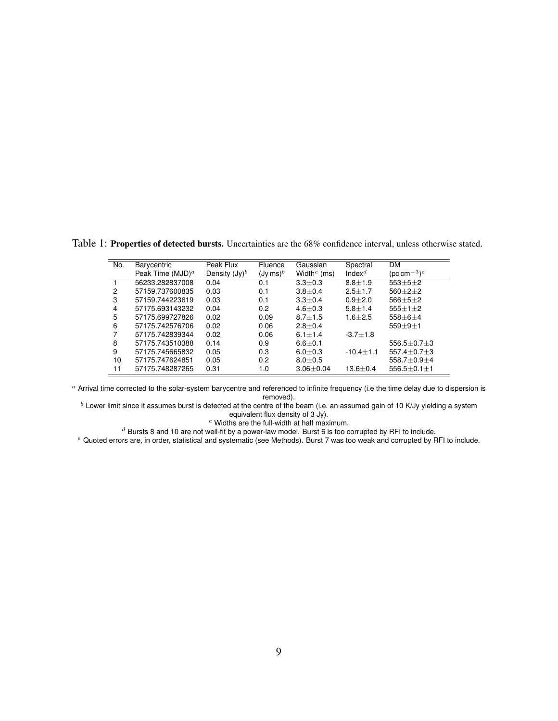<span id="page-8-0"></span>Table 1: Properties of detected bursts. Uncertainties are the 68% confidence interval, unless otherwise stated.

| No. | Barycentric                               | Peak Flux        | Fluence              | Gaussian                | Spectral        | DM                              |
|-----|-------------------------------------------|------------------|----------------------|-------------------------|-----------------|---------------------------------|
|     | Peak Time (MJD) <sup><math>a</math></sup> | Density $(Jy)^b$ | (Jy ms) <sup>b</sup> | Width <sup>c</sup> (ms) | Index $^d$      | $(\text{pc}\,\text{cm}^{-3})^e$ |
|     | 56233.282837008                           | 0.04             | 0.1                  | $3.3 + 0.3$             | $8.8 + 1.9$     | $553 + 5 + 2$                   |
| 2   | 57159.737600835                           | 0.03             | 0.1                  | $3.8 + 0.4$             | $2.5 + 1.7$     | $560 + 2 + 2$                   |
| 3   | 57159.744223619                           | 0.03             | 0.1                  | $3.3 \pm 0.4$           | $0.9 + 2.0$     | $566 + 5 + 2$                   |
| 4   | 57175.693143232                           | 0.04             | 0.2                  | $4.6 + 0.3$             | $5.8 + 1.4$     | $555+1+2$                       |
| 5   | 57175.699727826                           | 0.02             | 0.09                 | $8.7 + 1.5$             | $1.6 + 2.5$     | $558 \pm 6 \pm 4$               |
| 6   | 57175.742576706                           | 0.02             | 0.06                 | $2.8 + 0.4$             |                 | $559 + 9 + 1$                   |
| 7   | 57175.742839344                           | 0.02             | 0.06                 | $6.1 \pm 1.4$           | $-3.7 \pm 1.8$  |                                 |
| 8   | 57175.743510388                           | 0.14             | 0.9                  | $6.6 \pm 0.1$           |                 | 556.5 $\pm$ 0.7 $\pm$ 3         |
| 9   | 57175.745665832                           | 0.05             | 0.3                  | $6.0 + 0.3$             | $-10.4 \pm 1.1$ | 557.4 $\pm$ 0.7 $\pm$ 3         |
| 10  | 57175.747624851                           | 0.05             | 0.2                  | $8.0 \pm 0.5$           |                 | 558.7 $\pm$ 0.9 $\pm$ 4         |
| 11  | 57175.748287265                           | 0.31             | 1.0                  | $3.06 + 0.04$           | $13.6 \pm 0.4$  | 556.5 $\pm$ 0.1 $\pm$ 1         |

<sup>a</sup> Arrival time corrected to the solar-system barycentre and referenced to infinite frequency (i.e the time delay due to dispersion is removed).

b Lower limit since it assumes burst is detected at the centre of the beam (i.e. an assumed gain of 10 K/Jy yielding a system equivalent flux density of  $3 \overline{J}$ y).

<sup>c</sup> Widths are the full-width at half maximum.

<sup>d</sup> Bursts 8 and 10 are not well-fit by a power-law model. Burst 6 is too corrupted by RFI to include.

<sup>e</sup> Quoted errors are, in order, statistical and systematic (see Methods). Burst 7 was too weak and corrupted by RFI to include.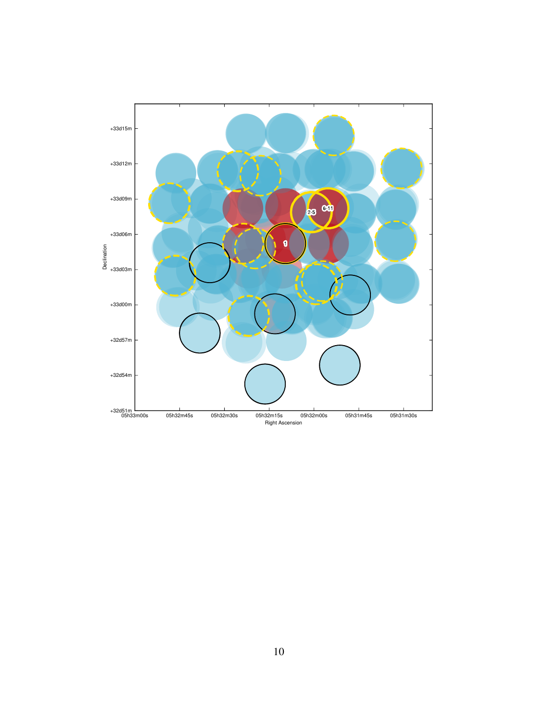<span id="page-9-0"></span>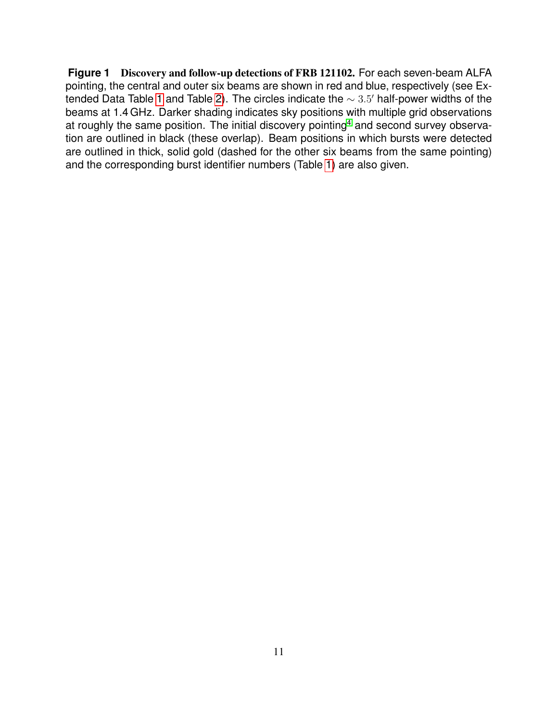**Figure 1** Discovery and follow-up detections of FRB 121102. For each seven-beam ALFA pointing, the central and outer six beams are shown in red and blue, respectively (see Ex-tended Data Table [1](#page-20-0) and Table [2\)](#page-21-0). The circles indicate the  $\sim$  3.5' half-power widths of the beams at 1.4 GHz. Darker shading indicates sky positions with multiple grid observations at roughly the same position. The initial discovery pointing<sup>[4](#page-5-4)</sup> and second survey observation are outlined in black (these overlap). Beam positions in which bursts were detected are outlined in thick, solid gold (dashed for the other six beams from the same pointing) and the corresponding burst identifier numbers (Table [1\)](#page-8-0) are also given.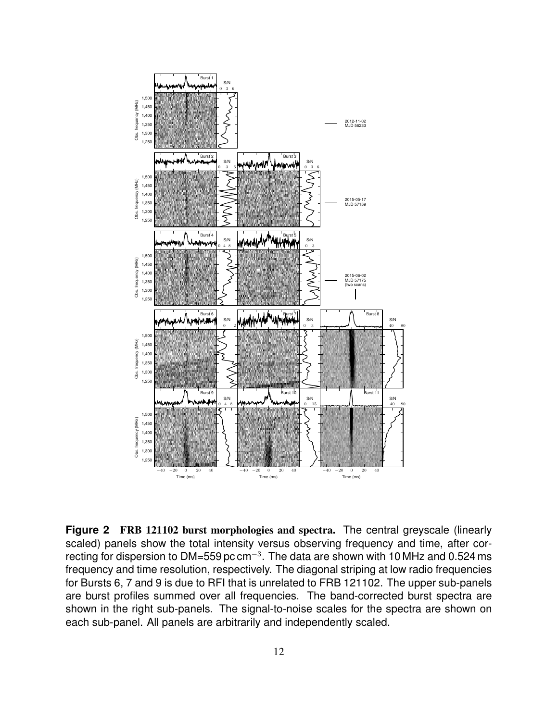

<span id="page-11-0"></span>**Figure 2** FRB 121102 burst morphologies and spectra. The central greyscale (linearly scaled) panels show the total intensity versus observing frequency and time, after correcting for dispersion to DM=559 pc cm $^{-3}$ . The data are shown with 10 MHz and 0.524 ms frequency and time resolution, respectively. The diagonal striping at low radio frequencies for Bursts 6, 7 and 9 is due to RFI that is unrelated to FRB 121102. The upper sub-panels are burst profiles summed over all frequencies. The band-corrected burst spectra are shown in the right sub-panels. The signal-to-noise scales for the spectra are shown on each sub-panel. All panels are arbitrarily and independently scaled.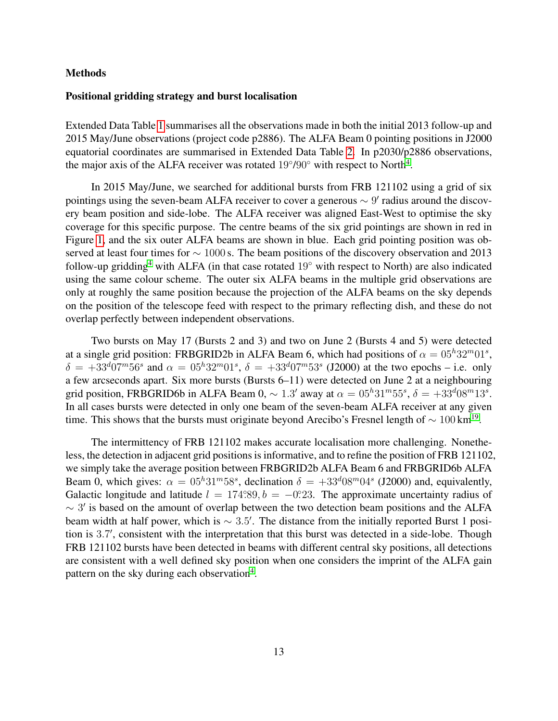## **Methods**

## Positional gridding strategy and burst localisation

Extended Data Table [1](#page-20-0) summarises all the observations made in both the initial 2013 follow-up and 2015 May/June observations (project code p2886). The ALFA Beam 0 pointing positions in J2000 equatorial coordinates are summarised in Extended Data Table [2.](#page-21-0) In p2030/p2886 observations, the major axis of the ALFA receiver was rotated  $19^{\circ}/90^{\circ}$  with respect to North<sup>[4](#page-5-4)</sup>.

In 2015 May/June, we searched for additional bursts from FRB 121102 using a grid of six pointings using the seven-beam ALFA receiver to cover a generous  $\sim 9'$  radius around the discovery beam position and side-lobe. The ALFA receiver was aligned East-West to optimise the sky coverage for this specific purpose. The centre beams of the six grid pointings are shown in red in Figure [1,](#page-9-0) and the six outer ALFA beams are shown in blue. Each grid pointing position was observed at least four times for  $\sim 1000$  s. The beam positions of the discovery observation and 2013 follow-up gridding<sup>[4](#page-5-4)</sup> with ALFA (in that case rotated  $19°$  with respect to North) are also indicated using the same colour scheme. The outer six ALFA beams in the multiple grid observations are only at roughly the same position because the projection of the ALFA beams on the sky depends on the position of the telescope feed with respect to the primary reflecting dish, and these do not overlap perfectly between independent observations.

Two bursts on May 17 (Bursts 2 and 3) and two on June 2 (Bursts 4 and 5) were detected at a single grid position: FRBGRID2b in ALFA Beam 6, which had positions of  $\alpha = 05^h32^m01^s$ ,  $\delta = +33^{\circ}07^{\circ}56^{\circ}$  and  $\alpha = 05^{\circ}32^{\circ}01^{\circ}$ ,  $\delta = +33^{\circ}07^{\circ}53^{\circ}$  (J2000) at the two epochs – i.e. only a few arcseconds apart. Six more bursts (Bursts 6–11) were detected on June 2 at a neighbouring grid position, FRBGRID6b in ALFA Beam 0,  $\sim 1.3'$  away at  $\alpha = 0.5^h 31^m 55^s$ ,  $\delta = +33^d 08^m 13^s$ . In all cases bursts were detected in only one beam of the seven-beam ALFA receiver at any given time. This shows that the bursts must originate beyond Arecibo's Fresnel length of  $\sim 100 \,\mathrm{km}^{19}$  $\sim 100 \,\mathrm{km}^{19}$  $\sim 100 \,\mathrm{km}^{19}$ .

The intermittency of FRB 121102 makes accurate localisation more challenging. Nonetheless, the detection in adjacent grid positions is informative, and to refine the position of FRB 121102, we simply take the average position between FRBGRID2b ALFA Beam 6 and FRBGRID6b ALFA Beam 0, which gives:  $\alpha = 05^h 31^m 58^s$ , declination  $\delta = +33^d 08^m 04^s$  (J2000) and, equivalently, Galactic longitude and latitude  $l = 174°89, b = -0°23$ . The approximate uncertainty radius of  $\sim$  3' is based on the amount of overlap between the two detection beam positions and the ALFA beam width at half power, which is  $\sim 3.5'$ . The distance from the initially reported Burst 1 position is 3.7', consistent with the interpretation that this burst was detected in a side-lobe. Though FRB 121102 bursts have been detected in beams with different central sky positions, all detections are consistent with a well defined sky position when one considers the imprint of the ALFA gain pattern on the sky during each observation<sup>[4](#page-5-4)</sup>.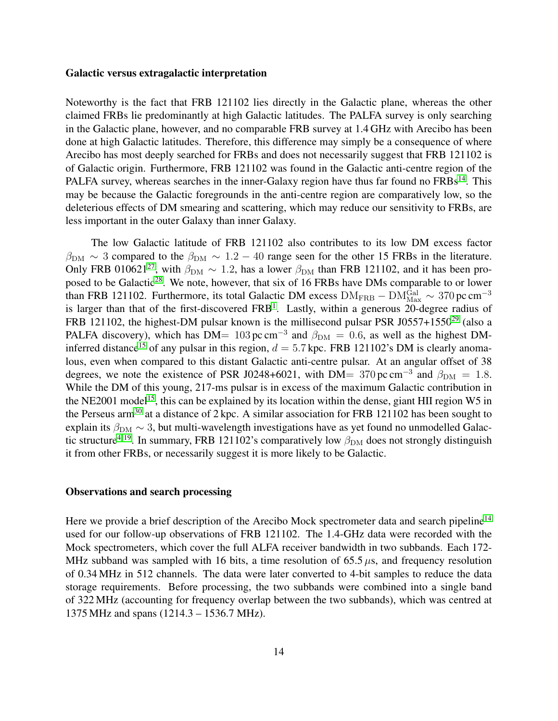#### Galactic versus extragalactic interpretation

Noteworthy is the fact that FRB 121102 lies directly in the Galactic plane, whereas the other claimed FRBs lie predominantly at high Galactic latitudes. The PALFA survey is only searching in the Galactic plane, however, and no comparable FRB survey at 1.4 GHz with Arecibo has been done at high Galactic latitudes. Therefore, this difference may simply be a consequence of where Arecibo has most deeply searched for FRBs and does not necessarily suggest that FRB 121102 is of Galactic origin. Furthermore, FRB 121102 was found in the Galactic anti-centre region of the PALFA survey, whereas searches in the inner-Galaxy region have thus far found no  $FRBs^{14}$  $FRBs^{14}$  $FRBs^{14}$ . This may be because the Galactic foregrounds in the anti-centre region are comparatively low, so the deleterious effects of DM smearing and scattering, which may reduce our sensitivity to FRBs, are less important in the outer Galaxy than inner Galaxy.

The low Galactic latitude of FRB 121102 also contributes to its low DM excess factor  $\beta_{\rm DM} \sim 3$  compared to the  $\beta_{\rm DM} \sim 1.2 - 40$  range seen for the other 15 FRBs in the literature. Only FRB 010621<sup>[27](#page-17-0)</sup>, with  $\beta_{DM} \sim 1.2$ , has a lower  $\beta_{DM}$  than FRB 121102, and it has been pro-posed to be Galactic<sup>[28](#page-17-1)</sup>. We note, however, that six of 16 FRBs have DMs comparable to or lower than FRB 121102. Furthermore, its total Galactic DM excess  $\text{DM}_{\text{FRB}} - \text{DM}_{\text{Max}}^{\text{Gal}} \sim 370 \,\text{pc} \text{ cm}^{-3}$ is larger than that of the first-discovered  $FRB<sup>1</sup>$  $FRB<sup>1</sup>$  $FRB<sup>1</sup>$ . Lastly, within a generous 20-degree radius of FRB 121102, the highest-DM pulsar known is the millisecond pulsar PSR J0557+1550<sup>[29](#page-18-0)</sup> (also a PALFA discovery), which has DM=  $103 \text{ pc cm}^{-3}$  and  $\beta_{\text{DM}} = 0.6$ , as well as the highest DM-inferred distance<sup>[15](#page-5-9)</sup> of any pulsar in this region,  $d = 5.7$  kpc. FRB 121102's DM is clearly anomalous, even when compared to this distant Galactic anti-centre pulsar. At an angular offset of 38 degrees, we note the existence of PSR J0248+6021, with DM= 370 pc cm<sup>-3</sup> and  $\beta_{DM} = 1.8$ . While the DM of this young, 217-ms pulsar is in excess of the maximum Galactic contribution in the NE2001 model<sup>[15](#page-5-9)</sup>, this can be explained by its location within the dense, giant HII region W5 in the Perseus arm<sup>[30](#page-18-1)</sup> at a distance of 2 kpc. A similar association for FRB 121102 has been sought to explain its  $\beta_{\rm DM} \sim 3$ , but multi-wavelength investigations have as yet found no unmodelled Galac-tic structure<sup>[4,](#page-5-4) [19](#page-6-3)</sup>. In summary, FRB 121102's comparatively low  $\beta_{DM}$  does not strongly distinguish it from other FRBs, or necessarily suggest it is more likely to be Galactic.

## Observations and search processing

Here we provide a brief description of the Arecibo Mock spectrometer data and search pipeline<sup>[14](#page-5-8)</sup> used for our follow-up observations of FRB 121102. The 1.4-GHz data were recorded with the Mock spectrometers, which cover the full ALFA receiver bandwidth in two subbands. Each 172- MHz subband was sampled with 16 bits, a time resolution of  $65.5 \mu s$ , and frequency resolution of 0.34 MHz in 512 channels. The data were later converted to 4-bit samples to reduce the data storage requirements. Before processing, the two subbands were combined into a single band of 322 MHz (accounting for frequency overlap between the two subbands), which was centred at 1375 MHz and spans (1214.3 – 1536.7 MHz).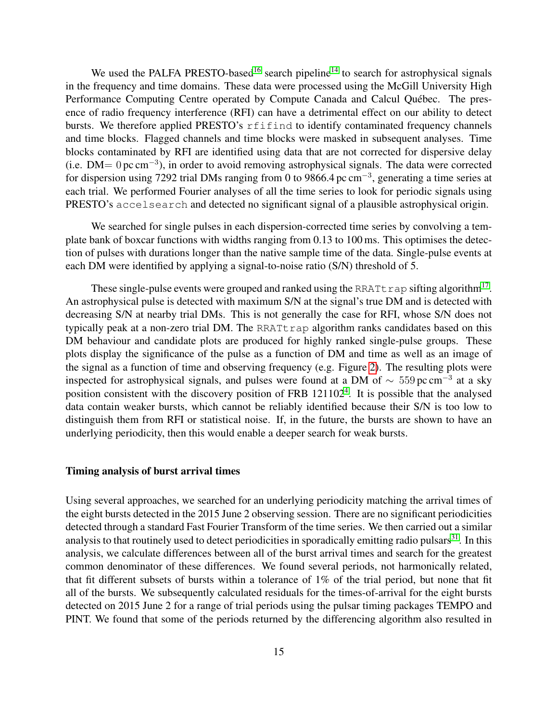We used the PALFA PRESTO-based<sup>[16](#page-6-0)</sup> search pipeline<sup>[14](#page-5-8)</sup> to search for astrophysical signals in the frequency and time domains. These data were processed using the McGill University High Performance Computing Centre operated by Compute Canada and Calcul Québec. The presence of radio frequency interference (RFI) can have a detrimental effect on our ability to detect bursts. We therefore applied PRESTO's rfifind to identify contaminated frequency channels and time blocks. Flagged channels and time blocks were masked in subsequent analyses. Time blocks contaminated by RFI are identified using data that are not corrected for dispersive delay (i.e.  $DM = 0 pc cm^{-3}$ ), in order to avoid removing astrophysical signals. The data were corrected for dispersion using 7292 trial DMs ranging from 0 to 9866.4 pc cm<sup>-3</sup>, generating a time series at each trial. We performed Fourier analyses of all the time series to look for periodic signals using PRESTO's accelsearch and detected no significant signal of a plausible astrophysical origin.

We searched for single pulses in each dispersion-corrected time series by convolving a template bank of boxcar functions with widths ranging from 0.13 to 100 ms. This optimises the detection of pulses with durations longer than the native sample time of the data. Single-pulse events at each DM were identified by applying a signal-to-noise ratio (S/N) threshold of 5.

These single-pulse events were grouped and ranked using the RRATtrap sifting algorithm<sup>[17](#page-6-1)</sup>. An astrophysical pulse is detected with maximum S/N at the signal's true DM and is detected with decreasing S/N at nearby trial DMs. This is not generally the case for RFI, whose S/N does not typically peak at a non-zero trial DM. The RRATtrap algorithm ranks candidates based on this DM behaviour and candidate plots are produced for highly ranked single-pulse groups. These plots display the significance of the pulse as a function of DM and time as well as an image of the signal as a function of time and observing frequency (e.g. Figure [2\)](#page-11-0). The resulting plots were inspected for astrophysical signals, and pulses were found at a DM of  $\sim 559$  pc cm<sup>-3</sup> at a sky position consistent with the discovery position of FRB 121102<sup>[4](#page-5-4)</sup>. It is possible that the analysed data contain weaker bursts, which cannot be reliably identified because their S/N is too low to distinguish them from RFI or statistical noise. If, in the future, the bursts are shown to have an underlying periodicity, then this would enable a deeper search for weak bursts.

## Timing analysis of burst arrival times

Using several approaches, we searched for an underlying periodicity matching the arrival times of the eight bursts detected in the 2015 June 2 observing session. There are no significant periodicities detected through a standard Fast Fourier Transform of the time series. We then carried out a similar analysis to that routinely used to detect periodicities in sporadically emitting radio pulsars $31$ . In this analysis, we calculate differences between all of the burst arrival times and search for the greatest common denominator of these differences. We found several periods, not harmonically related, that fit different subsets of bursts within a tolerance of 1% of the trial period, but none that fit all of the bursts. We subsequently calculated residuals for the times-of-arrival for the eight bursts detected on 2015 June 2 for a range of trial periods using the pulsar timing packages TEMPO and PINT. We found that some of the periods returned by the differencing algorithm also resulted in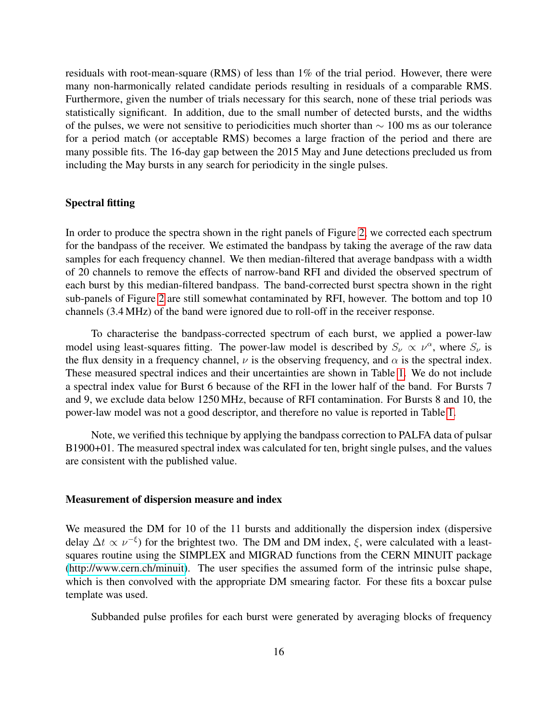residuals with root-mean-square (RMS) of less than 1% of the trial period. However, there were many non-harmonically related candidate periods resulting in residuals of a comparable RMS. Furthermore, given the number of trials necessary for this search, none of these trial periods was statistically significant. In addition, due to the small number of detected bursts, and the widths of the pulses, we were not sensitive to periodicities much shorter than ∼ 100 ms as our tolerance for a period match (or acceptable RMS) becomes a large fraction of the period and there are many possible fits. The 16-day gap between the 2015 May and June detections precluded us from including the May bursts in any search for periodicity in the single pulses.

## Spectral fitting

In order to produce the spectra shown in the right panels of Figure [2,](#page-11-0) we corrected each spectrum for the bandpass of the receiver. We estimated the bandpass by taking the average of the raw data samples for each frequency channel. We then median-filtered that average bandpass with a width of 20 channels to remove the effects of narrow-band RFI and divided the observed spectrum of each burst by this median-filtered bandpass. The band-corrected burst spectra shown in the right sub-panels of Figure [2](#page-11-0) are still somewhat contaminated by RFI, however. The bottom and top 10 channels (3.4 MHz) of the band were ignored due to roll-off in the receiver response.

To characterise the bandpass-corrected spectrum of each burst, we applied a power-law model using least-squares fitting. The power-law model is described by  $S_{\nu} \propto \nu^{\alpha}$ , where  $S_{\nu}$  is the flux density in a frequency channel,  $\nu$  is the observing frequency, and  $\alpha$  is the spectral index. These measured spectral indices and their uncertainties are shown in Table [1.](#page-8-0) We do not include a spectral index value for Burst 6 because of the RFI in the lower half of the band. For Bursts 7 and 9, we exclude data below 1250 MHz, because of RFI contamination. For Bursts 8 and 10, the power-law model was not a good descriptor, and therefore no value is reported in Table [1.](#page-8-0)

Note, we verified this technique by applying the bandpass correction to PALFA data of pulsar B1900+01. The measured spectral index was calculated for ten, bright single pulses, and the values are consistent with the published value.

#### Measurement of dispersion measure and index

We measured the DM for 10 of the 11 bursts and additionally the dispersion index (dispersive delay  $\Delta t \propto \nu^{-\xi}$ ) for the brightest two. The DM and DM index,  $\xi$ , were calculated with a leastsquares routine using the SIMPLEX and MIGRAD functions from the CERN MINUIT package [\(http://www.cern.ch/minuit\)](http://www.cern.ch/minuit). The user specifies the assumed form of the intrinsic pulse shape, which is then convolved with the appropriate DM smearing factor. For these fits a boxcar pulse template was used.

Subbanded pulse profiles for each burst were generated by averaging blocks of frequency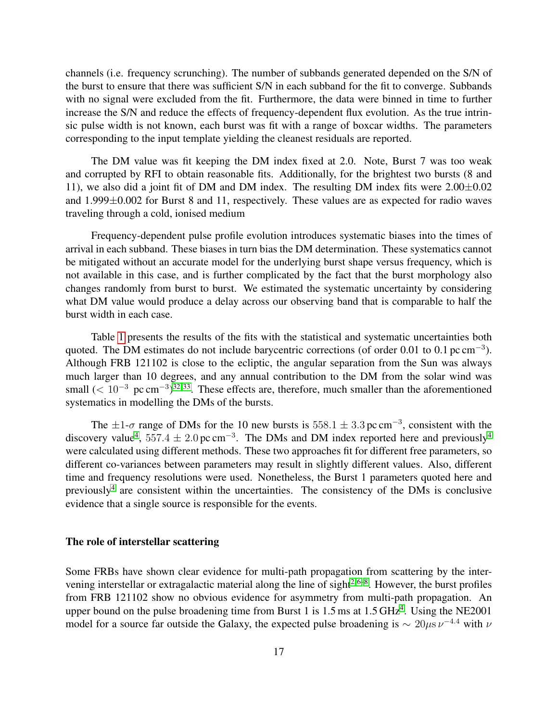channels (i.e. frequency scrunching). The number of subbands generated depended on the S/N of the burst to ensure that there was sufficient S/N in each subband for the fit to converge. Subbands with no signal were excluded from the fit. Furthermore, the data were binned in time to further increase the S/N and reduce the effects of frequency-dependent flux evolution. As the true intrinsic pulse width is not known, each burst was fit with a range of boxcar widths. The parameters corresponding to the input template yielding the cleanest residuals are reported.

The DM value was fit keeping the DM index fixed at 2.0. Note, Burst 7 was too weak and corrupted by RFI to obtain reasonable fits. Additionally, for the brightest two bursts (8 and 11), we also did a joint fit of DM and DM index. The resulting DM index fits were  $2.00\pm0.02$ and 1.999±0.002 for Burst 8 and 11, respectively. These values are as expected for radio waves traveling through a cold, ionised medium

Frequency-dependent pulse profile evolution introduces systematic biases into the times of arrival in each subband. These biases in turn bias the DM determination. These systematics cannot be mitigated without an accurate model for the underlying burst shape versus frequency, which is not available in this case, and is further complicated by the fact that the burst morphology also changes randomly from burst to burst. We estimated the systematic uncertainty by considering what DM value would produce a delay across our observing band that is comparable to half the burst width in each case.

Table [1](#page-8-0) presents the results of the fits with the statistical and systematic uncertainties both quoted. The DM estimates do not include barycentric corrections (of order 0.01 to 0.1 pc  $cm^{-3}$ ). Although FRB 121102 is close to the ecliptic, the angular separation from the Sun was always much larger than 10 degrees, and any annual contribution to the DM from the solar wind was small ( $\lt 10^{-3}$  pc cm<sup>-3</sup>)<sup>[32,](#page-18-3)33</sup>. These effects are, therefore, much smaller than the aforementioned systematics in modelling the DMs of the bursts.

The  $\pm 1$ - $\sigma$  range of DMs for the 10 new bursts is 558.1  $\pm$  3.3 pc cm<sup>-3</sup>, consistent with the discovery value<sup>[4](#page-5-4)</sup>, 557.4  $\pm$  2.0 pc cm<sup>-3</sup>. The DMs and DM index reported here and previously<sup>4</sup> were calculated using different methods. These two approaches fit for different free parameters, so different co-variances between parameters may result in slightly different values. Also, different time and frequency resolutions were used. Nonetheless, the Burst 1 parameters quoted here and previously<sup>[4](#page-5-4)</sup> are consistent within the uncertainties. The consistency of the DMs is conclusive evidence that a single source is responsible for the events.

## The role of interstellar scattering

Some FRBs have shown clear evidence for multi-path propagation from scattering by the intervening interstellar or extragalactic material along the line of sight $2.6-8$  $2.6-8$ . However, the burst profiles from FRB 121102 show no obvious evidence for asymmetry from multi-path propagation. An upper bound on the pulse broadening time from Burst 1 is  $1.5 \text{ ms}$  at  $1.5 \text{ GHz}^4$  $1.5 \text{ GHz}^4$ . Using the NE2001 model for a source far outside the Galaxy, the expected pulse broadening is  $\sim 20 \mu s \nu^{-4.4}$  with  $\nu$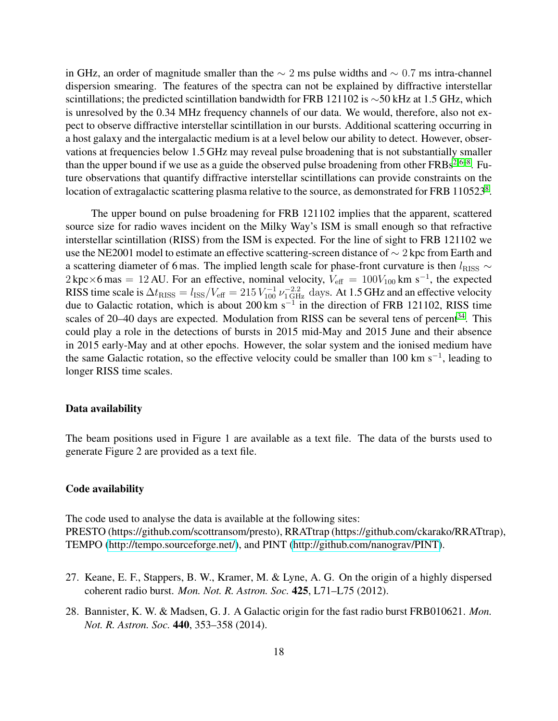in GHz, an order of magnitude smaller than the  $\sim$  2 ms pulse widths and  $\sim$  0.7 ms intra-channel dispersion smearing. The features of the spectra can not be explained by diffractive interstellar scintillations; the predicted scintillation bandwidth for FRB 121102 is  $\sim$ 50 kHz at 1.5 GHz, which is unresolved by the 0.34 MHz frequency channels of our data. We would, therefore, also not expect to observe diffractive interstellar scintillation in our bursts. Additional scattering occurring in a host galaxy and the intergalactic medium is at a level below our ability to detect. However, observations at frequencies below 1.5 GHz may reveal pulse broadening that is not substantially smaller than the upper bound if we use as a guide the observed pulse broadening from other  $FRBs^{2.6-8}$ . Future observations that quantify diffractive interstellar scintillations can provide constraints on the location of extragalactic scattering plasma relative to the source, as demonstrated for FRB 110523<sup>[8](#page-5-1)</sup>.

The upper bound on pulse broadening for FRB 121102 implies that the apparent, scattered source size for radio waves incident on the Milky Way's ISM is small enough so that refractive interstellar scintillation (RISS) from the ISM is expected. For the line of sight to FRB 121102 we use the NE2001 model to estimate an effective scattering-screen distance of ∼ 2 kpc from Earth and a scattering diameter of 6 mas. The implied length scale for phase-front curvature is then  $l_{\rm RISS} \sim$ 2 kpc×6 mas = 12 AU. For an effective, nominal velocity,  $V_{\text{eff}} = 100V_{100}$  km s<sup>-1</sup>, the expected RISS time scale is  $\Delta t_{\rm RISS} = l_{\rm ISS}/V_{\rm eff} = 215 V_{100}^{-1} \nu_{1\rm GHz}^{-2.2}$  days. At 1.5 GHz and an effective velocity due to Galactic rotation, which is about 200 km s<sup>-1</sup> in the direction of FRB 121102, RISS time scales of 20–40 days are expected. Modulation from RISS can be several tens of percent<sup>[34](#page-18-5)</sup>. This could play a role in the detections of bursts in 2015 mid-May and 2015 June and their absence in 2015 early-May and at other epochs. However, the solar system and the ionised medium have the same Galactic rotation, so the effective velocity could be smaller than 100 km s<sup>−</sup><sup>1</sup> , leading to longer RISS time scales.

## Data availability

The beam positions used in Figure 1 are available as a text file. The data of the bursts used to generate Figure 2 are provided as a text file.

#### Code availability

The code used to analyse the data is available at the following sites: PRESTO (https://github.com/scottransom/presto), RRATtrap (https://github.com/ckarako/RRATtrap), TEMPO [\(http://tempo.sourceforge.net/\)](http://tempo.sourceforge.net/), and PINT [\(http://github.com/nanograv/PINT\)](http://github.com/nanograv/PINT).

- <span id="page-17-0"></span>27. Keane, E. F., Stappers, B. W., Kramer, M. & Lyne, A. G. On the origin of a highly dispersed coherent radio burst. *Mon. Not. R. Astron. Soc.* 425, L71–L75 (2012).
- <span id="page-17-1"></span>28. Bannister, K. W. & Madsen, G. J. A Galactic origin for the fast radio burst FRB010621. *Mon. Not. R. Astron. Soc.* 440, 353–358 (2014).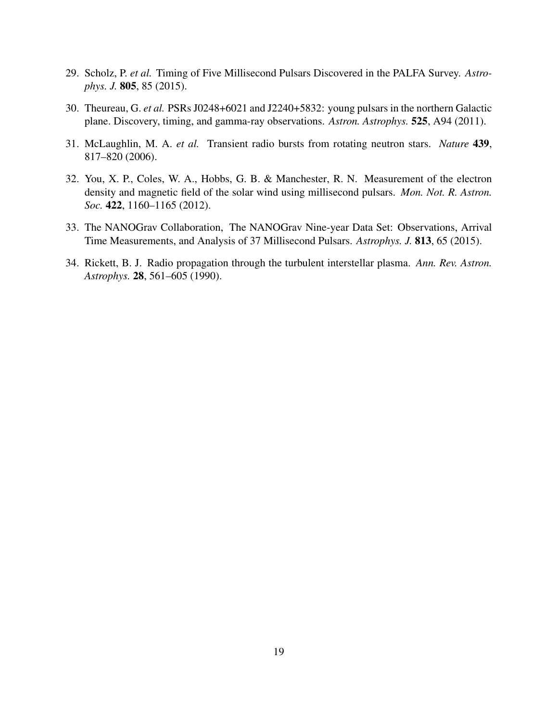- <span id="page-18-0"></span>29. Scholz, P. *et al.* Timing of Five Millisecond Pulsars Discovered in the PALFA Survey. *Astrophys. J.* 805, 85 (2015).
- <span id="page-18-1"></span>30. Theureau, G. *et al.* PSRs J0248+6021 and J2240+5832: young pulsars in the northern Galactic plane. Discovery, timing, and gamma-ray observations. *Astron. Astrophys.* 525, A94 (2011).
- <span id="page-18-2"></span>31. McLaughlin, M. A. *et al.* Transient radio bursts from rotating neutron stars. *Nature* 439, 817–820 (2006).
- <span id="page-18-3"></span>32. You, X. P., Coles, W. A., Hobbs, G. B. & Manchester, R. N. Measurement of the electron density and magnetic field of the solar wind using millisecond pulsars. *Mon. Not. R. Astron. Soc.* 422, 1160–1165 (2012).
- <span id="page-18-4"></span>33. The NANOGrav Collaboration, The NANOGrav Nine-year Data Set: Observations, Arrival Time Measurements, and Analysis of 37 Millisecond Pulsars. *Astrophys. J.* 813, 65 (2015).
- <span id="page-18-5"></span>34. Rickett, B. J. Radio propagation through the turbulent interstellar plasma. *Ann. Rev. Astron. Astrophys.* 28, 561–605 (1990).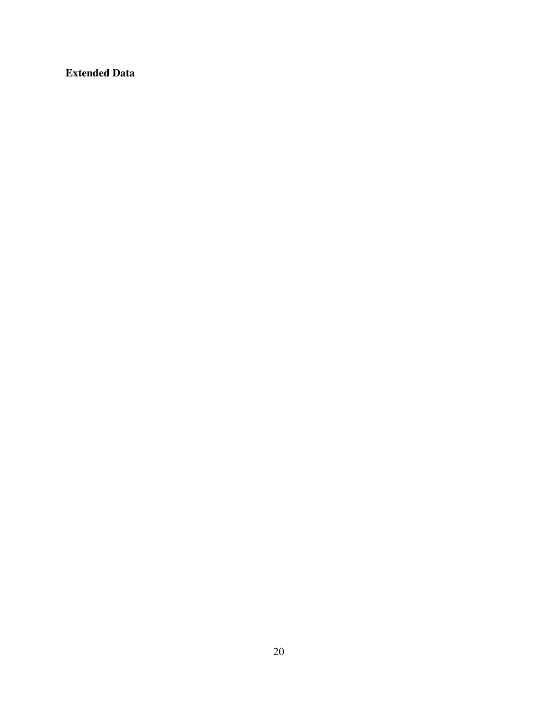## Extended Data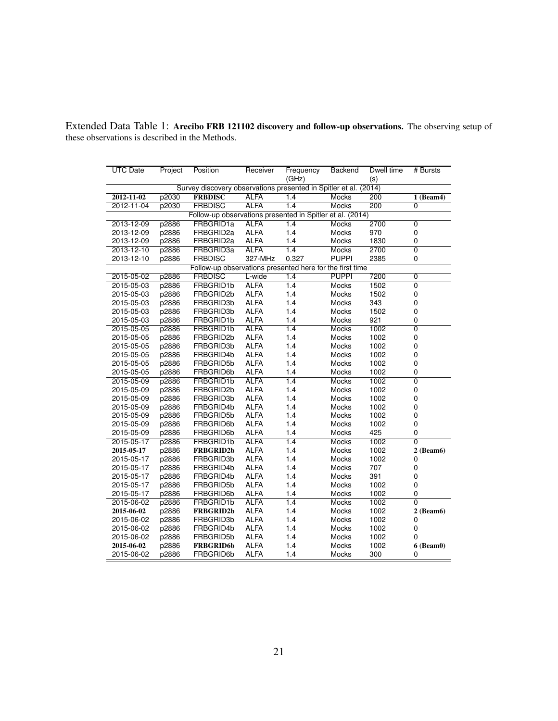| <b>UTC Date</b>                                                  | Project | Position         | Receiver    | Frequency<br>(GHz) | Backend      | Dwell time<br>(s) | # Bursts                  |
|------------------------------------------------------------------|---------|------------------|-------------|--------------------|--------------|-------------------|---------------------------|
| Survey discovery observations presented in Spitler et al. (2014) |         |                  |             |                    |              |                   |                           |
| 2012-11-02                                                       | p2030   | <b>FRBDISC</b>   | <b>ALFA</b> | 1.4                | Mocks        | 200               | $1$ (Beam4)               |
| 2012-11-04                                                       | p2030   | <b>FRBDISC</b>   | <b>ALFA</b> | 1.4                | <b>Mocks</b> | 200               | $\overline{0}$            |
| Follow-up observations presented in Spitler et al. (2014)        |         |                  |             |                    |              |                   |                           |
| 2013-12-09                                                       | p2886   | FRBGRID1a        | <b>ALFA</b> | 1.4                | <b>Mocks</b> | 2700              | $\overline{0}$            |
| 2013-12-09                                                       | p2886   | FRBGRID2a        | <b>ALFA</b> | 1.4                | Mocks        | 970               | 0                         |
| 2013-12-09                                                       | p2886   | FRBGRID2a        | <b>ALFA</b> | 1.4                | Mocks        | 1830              | 0                         |
| 2013-12-10                                                       | p2886   | FRBGRID3a        | <b>ALFA</b> | 1.4                | Mocks        | 2700              | $\overline{\mathfrak{o}}$ |
| 2013-12-10                                                       | p2886   | <b>FRBDISC</b>   | 327-MHz     | 0.327              | <b>PUPPI</b> | 2385              | 0                         |
| Follow-up observations presented here for the first time         |         |                  |             |                    |              |                   |                           |
| 2015-05-02                                                       | p2886   | <b>FRBDISC</b>   | L-wide      | 1.4                | <b>PUPPI</b> | 7200              | $\overline{0}$            |
| 2015-05-03                                                       | p2886   | FRBGRID1b        | <b>ALFA</b> | 1.4                | <b>Mocks</b> | 1502              | $\overline{0}$            |
| 2015-05-03                                                       | p2886   | FRBGRID2b        | <b>ALFA</b> | 1.4                | Mocks        | 1502              | 0                         |
| 2015-05-03                                                       | p2886   | FRBGRID3b        | <b>ALFA</b> | 1.4                | Mocks        | 343               | 0                         |
| 2015-05-03                                                       | p2886   | FRBGRID3b        | <b>ALFA</b> | 1.4                | Mocks        | 1502              | $\mathbf 0$               |
| 2015-05-03                                                       | p2886   | FRBGRID1b        | <b>ALFA</b> | 1.4                | Mocks        | 921               | 0                         |
| 2015-05-05                                                       | p2886   | FRBGRID1b        | <b>ALFA</b> | 1.4                | Mocks        | 1002              | $\overline{\mathfrak{o}}$ |
| 2015-05-05                                                       | p2886   | FRBGRID2b        | <b>ALFA</b> | 1.4                | Mocks        | 1002              | 0                         |
| 2015-05-05                                                       | p2886   | FRBGRID3b        | <b>ALFA</b> | 1.4                | Mocks        | 1002              | 0                         |
| 2015-05-05                                                       | p2886   | FRBGRID4b        | <b>ALFA</b> | 1.4                | Mocks        | 1002              | 0                         |
| 2015-05-05                                                       | p2886   | FRBGRID5b        | <b>ALFA</b> | 1.4                | Mocks        | 1002              | 0                         |
| 2015-05-05                                                       | p2886   | FRBGRID6b        | <b>ALFA</b> | 1.4                | Mocks        | 1002              | 0                         |
| 2015-05-09                                                       | p2886   | FRBGRID1b        | <b>ALFA</b> | 1.4                | <b>Mocks</b> | 1002              | $\overline{0}$            |
| 2015-05-09                                                       | p2886   | FRBGRID2b        | <b>ALFA</b> | 1.4                | Mocks        | 1002              | 0                         |
| 2015-05-09                                                       | p2886   | FRBGRID3b        | <b>ALFA</b> | 1.4                | Mocks        | 1002              | 0                         |
| 2015-05-09                                                       | p2886   | FRBGRID4b        | <b>ALFA</b> | 1.4                | Mocks        | 1002              | 0                         |
| 2015-05-09                                                       | p2886   | FRBGRID5b        | <b>ALFA</b> | 1.4                | Mocks        | 1002              | 0                         |
| 2015-05-09                                                       | p2886   | FRBGRID6b        | <b>ALFA</b> | 1.4                | Mocks        | 1002              | 0                         |
| 2015-05-09                                                       | p2886   | FRBGRID6b        | <b>ALFA</b> | 1.4                | Mocks        | 425               | 0                         |
| 2015-05-17                                                       | p2886   | FRBGRID1b        | <b>ALFA</b> | 1.4                | Mocks        | 1002              | $\overline{0}$            |
| 2015-05-17                                                       | p2886   | <b>FRBGRID2b</b> | <b>ALFA</b> | 1.4                | Mocks        | 1002              | 2 (Beam6)                 |
| 2015-05-17                                                       | p2886   | FRBGRID3b        | <b>ALFA</b> | 1.4                | Mocks        | 1002              | 0                         |
| 2015-05-17                                                       | p2886   | FRBGRID4b        | <b>ALFA</b> | 1.4                | Mocks        | 707               | 0                         |
| 2015-05-17                                                       | p2886   | FRBGRID4b        | <b>ALFA</b> | 1.4                | Mocks        | 391               | 0                         |
| 2015-05-17                                                       | p2886   | FRBGRID5b        | <b>ALFA</b> | 1.4                | Mocks        | 1002              | 0                         |
| 2015-05-17                                                       | p2886   | FRBGRID6b        | <b>ALFA</b> | 1.4                | Mocks        | 1002              | $\pmb{0}$                 |
| 2015-06-02                                                       | p2886   | FRBGRID1b        | <b>ALFA</b> | 1.4                | Mocks        | 1002              | $\overline{0}$            |
| 2015-06-02                                                       | p2886   | <b>FRBGRID2b</b> | <b>ALFA</b> | 1.4                | Mocks        | 1002              | 2 (Beam6)                 |
| 2015-06-02                                                       | p2886   | FRBGRID3b        | <b>ALFA</b> | 1.4                | Mocks        | 1002              | 0                         |
| 2015-06-02                                                       | p2886   | FRBGRID4b        | <b>ALFA</b> | 1.4                | Mocks        | 1002              | $\mathbf 0$               |
| 2015-06-02                                                       | p2886   | FRBGRID5b        | <b>ALFA</b> | 1.4                | Mocks        | 1002              | 0                         |
| 2015-06-02                                                       | p2886   | <b>FRBGRID6b</b> | <b>ALFA</b> | 1.4                | Mocks        | 1002              | $6$ (Beam0)               |
| 2015-06-02                                                       | p2886   | FRBGRID6b        | <b>ALFA</b> | 1.4                | Mocks        | 300               | 0                         |

<span id="page-20-0"></span>Extended Data Table 1: Arecibo FRB 121102 discovery and follow-up observations. The observing setup of these observations is described in the Methods.